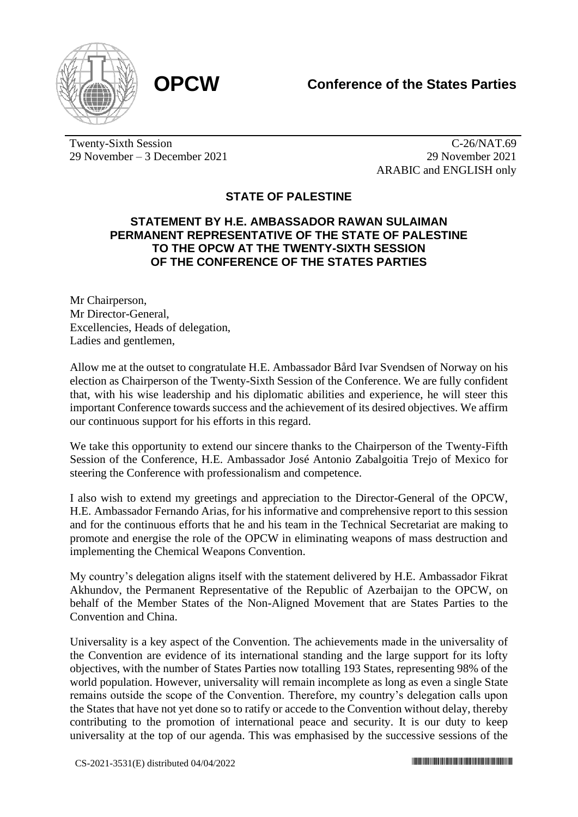



Twenty-Sixth Session 29 November – 3 December 2021

 $\overline{C-26}/NAT.69$ 29 November 2021 ARABIC and ENGLISH only

## **STATE OF PALESTINE**

## **STATEMENT BY H.E. AMBASSADOR RAWAN SULAIMAN PERMANENT REPRESENTATIVE OF THE STATE OF PALESTINE TO THE OPCW AT THE TWENTY-SIXTH SESSION OF THE CONFERENCE OF THE STATES PARTIES**

Mr Chairperson, Mr Director-General, Excellencies, Heads of delegation, Ladies and gentlemen,

Allow me at the outset to congratulate H.E. Ambassador Bård Ivar Svendsen of Norway on his election as Chairperson of the Twenty-Sixth Session of the Conference. We are fully confident that, with his wise leadership and his diplomatic abilities and experience, he will steer this important Conference towards success and the achievement of its desired objectives. We affirm our continuous support for his efforts in this regard.

We take this opportunity to extend our sincere thanks to the Chairperson of the Twenty-Fifth Session of the Conference, H.E. Ambassador José Antonio Zabalgoitia Trejo of Mexico for steering the Conference with professionalism and competence.

I also wish to extend my greetings and appreciation to the Director-General of the OPCW, H.E. Ambassador Fernando Arias, for his informative and comprehensive report to this session and for the continuous efforts that he and his team in the Technical Secretariat are making to promote and energise the role of the OPCW in eliminating weapons of mass destruction and implementing the Chemical Weapons Convention.

My country's delegation aligns itself with the statement delivered by H.E. Ambassador Fikrat Akhundov, the Permanent Representative of the Republic of Azerbaijan to the OPCW, on behalf of the Member States of the Non-Aligned Movement that are States Parties to the Convention and China.

Universality is a key aspect of the Convention. The achievements made in the universality of the Convention are evidence of its international standing and the large support for its lofty objectives, with the number of States Parties now totalling 193 States, representing 98% of the world population. However, universality will remain incomplete as long as even a single State remains outside the scope of the Convention. Therefore, my country's delegation calls upon the States that have not yet done so to ratify or accede to the Convention without delay, thereby contributing to the promotion of international peace and security. It is our duty to keep universality at the top of our agenda. This was emphasised by the successive sessions of the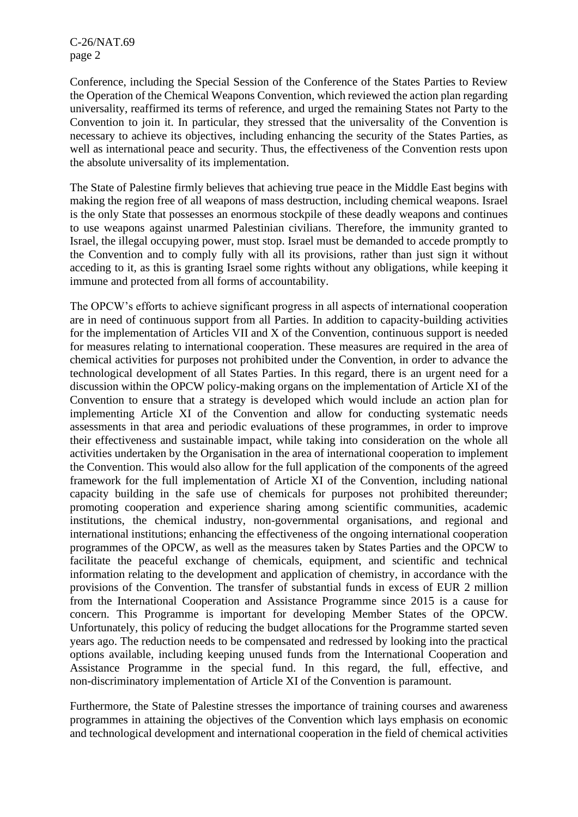C-26/NAT.69 page 2

Conference, including the Special Session of the Conference of the States Parties to Review the Operation of the Chemical Weapons Convention, which reviewed the action plan regarding universality, reaffirmed its terms of reference, and urged the remaining States not Party to the Convention to join it. In particular, they stressed that the universality of the Convention is necessary to achieve its objectives, including enhancing the security of the States Parties, as well as international peace and security. Thus, the effectiveness of the Convention rests upon the absolute universality of its implementation.

The State of Palestine firmly believes that achieving true peace in the Middle East begins with making the region free of all weapons of mass destruction, including chemical weapons. Israel is the only State that possesses an enormous stockpile of these deadly weapons and continues to use weapons against unarmed Palestinian civilians. Therefore, the immunity granted to Israel, the illegal occupying power, must stop. Israel must be demanded to accede promptly to the Convention and to comply fully with all its provisions, rather than just sign it without acceding to it, as this is granting Israel some rights without any obligations, while keeping it immune and protected from all forms of accountability.

The OPCW's efforts to achieve significant progress in all aspects of international cooperation are in need of continuous support from all Parties. In addition to capacity-building activities for the implementation of Articles VII and X of the Convention, continuous support is needed for measures relating to international cooperation. These measures are required in the area of chemical activities for purposes not prohibited under the Convention, in order to advance the technological development of all States Parties. In this regard, there is an urgent need for a discussion within the OPCW policy-making organs on the implementation of Article XI of the Convention to ensure that a strategy is developed which would include an action plan for implementing Article XI of the Convention and allow for conducting systematic needs assessments in that area and periodic evaluations of these programmes, in order to improve their effectiveness and sustainable impact, while taking into consideration on the whole all activities undertaken by the Organisation in the area of international cooperation to implement the Convention. This would also allow for the full application of the components of the agreed framework for the full implementation of Article XI of the Convention, including national capacity building in the safe use of chemicals for purposes not prohibited thereunder; promoting cooperation and experience sharing among scientific communities, academic institutions, the chemical industry, non-governmental organisations, and regional and international institutions; enhancing the effectiveness of the ongoing international cooperation programmes of the OPCW, as well as the measures taken by States Parties and the OPCW to facilitate the peaceful exchange of chemicals, equipment, and scientific and technical information relating to the development and application of chemistry, in accordance with the provisions of the Convention. The transfer of substantial funds in excess of EUR 2 million from the International Cooperation and Assistance Programme since 2015 is a cause for concern. This Programme is important for developing Member States of the OPCW. Unfortunately, this policy of reducing the budget allocations for the Programme started seven years ago. The reduction needs to be compensated and redressed by looking into the practical options available, including keeping unused funds from the International Cooperation and Assistance Programme in the special fund. In this regard, the full, effective, and non-discriminatory implementation of Article XI of the Convention is paramount.

Furthermore, the State of Palestine stresses the importance of training courses and awareness programmes in attaining the objectives of the Convention which lays emphasis on economic and technological development and international cooperation in the field of chemical activities